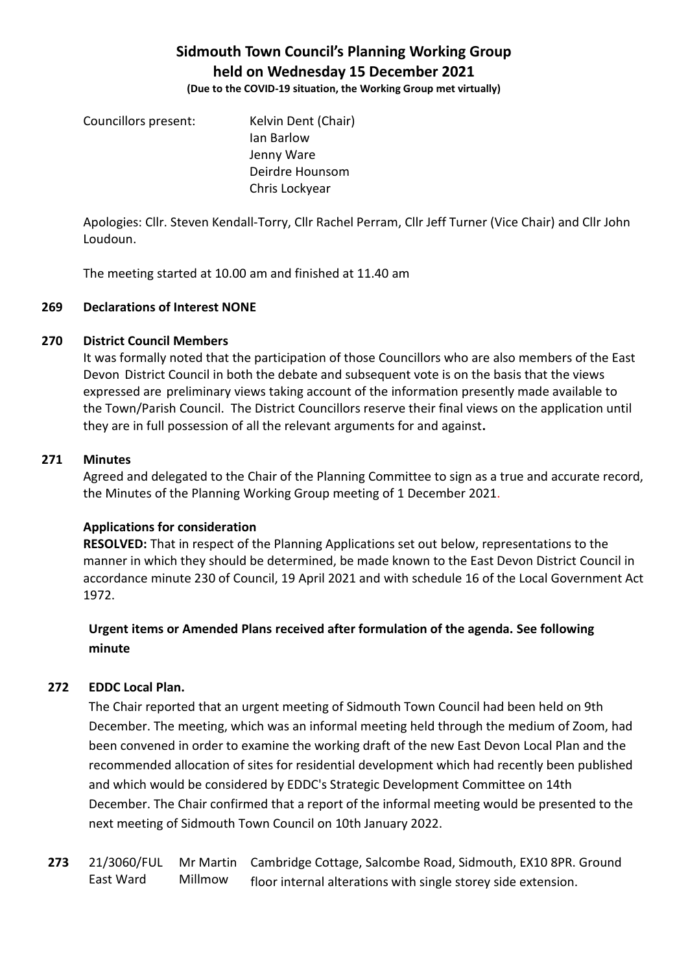# **Sidmouth Town Council's Planning Working Group held on Wednesday 15 December 2021**

**(Due to the COVID-19 situation, the Working Group met virtually)**

Councillors present: Kelvin Dent (Chair) Ian Barlow Jenny Ware Deirdre Hounsom Chris Lockyear

Apologies: Cllr. Steven Kendall-Torry, Cllr Rachel Perram, Cllr Jeff Turner (Vice Chair) and Cllr John Loudoun.

The meeting started at 10.00 am and finished at 11.40 am

## **269 Declarations of Interest NONE**

## **270 District Council Members**

It was formally noted that the participation of those Councillors who are also members of the East Devon District Council in both the debate and subsequent vote is on the basis that the views expressed are preliminary views taking account of the information presently made available to the Town/Parish Council. The District Councillors reserve their final views on the application until they are in full possession of all the relevant arguments for and against**.**

#### **271 Minutes**

Agreed and delegated to the Chair of the Planning Committee to sign as a true and accurate record, the Minutes of the Planning Working Group meeting of 1 December 2021.

# **Applications for consideration**

**RESOLVED:** That in respect of the Planning Applications set out below, representations to the manner in which they should be determined, be made known to the East Devon District Council in accordance minute 230 of Council, 19 April 2021 and with schedule 16 of the Local Government Act 1972.

# **Urgent items or Amended Plans received after formulation of the agenda. See following minute**

# **272 EDDC Local Plan.**

The Chair reported that an urgent meeting of Sidmouth Town Council had been held on 9th December. The meeting, which was an informal meeting held through the medium of Zoom, had been convened in order to examine the working draft of the new East Devon Local Plan and the recommended allocation of sites for residential development which had recently been published and which would be considered by EDDC's Strategic Development Committee on 14th December. The Chair confirmed that a report of the informal meeting would be presented to the next meeting of Sidmouth Town Council on 10th January 2022.

**273** 21/3060/FUL East Ward Mr Martin Cambridge Cottage, Salcombe Road, Sidmouth, EX10 8PR. Ground Millmow floor internal alterations with single storey side extension.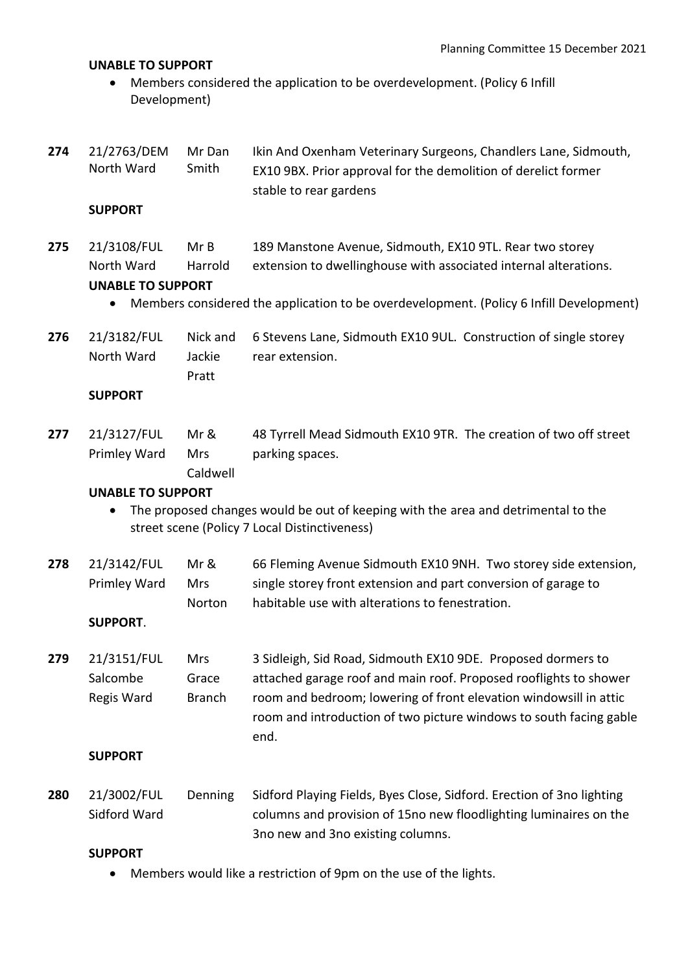#### **UNABLE TO SUPPORT**

• Members considered the application to be overdevelopment. (Policy 6 Infill Development)

| 274 | 21/2763/DEM | Mr Dan | Ikin And Oxenham Veterinary Surgeons, Chandlers Lane, Sidmouth, |
|-----|-------------|--------|-----------------------------------------------------------------|
|     | North Ward  | Smith  | EX10 9BX. Prior approval for the demolition of derelict former  |
|     |             |        | stable to rear gardens                                          |

#### **SUPPORT**

**275** 21/3108/FUL North Ward Mr B Harrold 189 Manstone Avenue, Sidmouth, EX10 9TL. Rear two storey extension to dwellinghouse with associated internal alterations.

#### **UNABLE TO SUPPORT**

- Members considered the application to be overdevelopment. (Policy 6 Infill Development)
- **276** 21/3182/FUL North Ward Nick and Jackie Pratt 6 Stevens Lane, Sidmouth EX10 9UL. Construction of single storey rear extension.

#### **SUPPORT**

**277** 21/3127/FUL Primley Ward Mr & Mrs Caldwell 48 Tyrrell Mead Sidmouth EX10 9TR. The creation of two off street parking spaces.

#### **UNABLE TO SUPPORT**

- The proposed changes would be out of keeping with the area and detrimental to the street scene (Policy 7 Local Distinctiveness)
- **278** 21/3142/FUL Primley Ward Mr & Mrs Norton 66 Fleming Avenue Sidmouth EX10 9NH. Two storey side extension, single storey front extension and part conversion of garage to habitable use with alterations to fenestration.

#### **SUPPORT**.

**279** 21/3151/FUL Salcombe Regis Ward Mrs Grace Branch 3 Sidleigh, Sid Road, Sidmouth EX10 9DE. Proposed dormers to attached garage roof and main roof. Proposed rooflights to shower room and bedroom; lowering of front elevation windowsill in attic room and introduction of two picture windows to south facing gable end.

#### **SUPPORT**

**280** 21/3002/FUL Sidford Ward Denning Sidford Playing Fields, Byes Close, Sidford. Erection of 3no lighting columns and provision of 15no new floodlighting luminaires on the 3no new and 3no existing columns.

#### **SUPPORT**

• Members would like a restriction of 9pm on the use of the lights.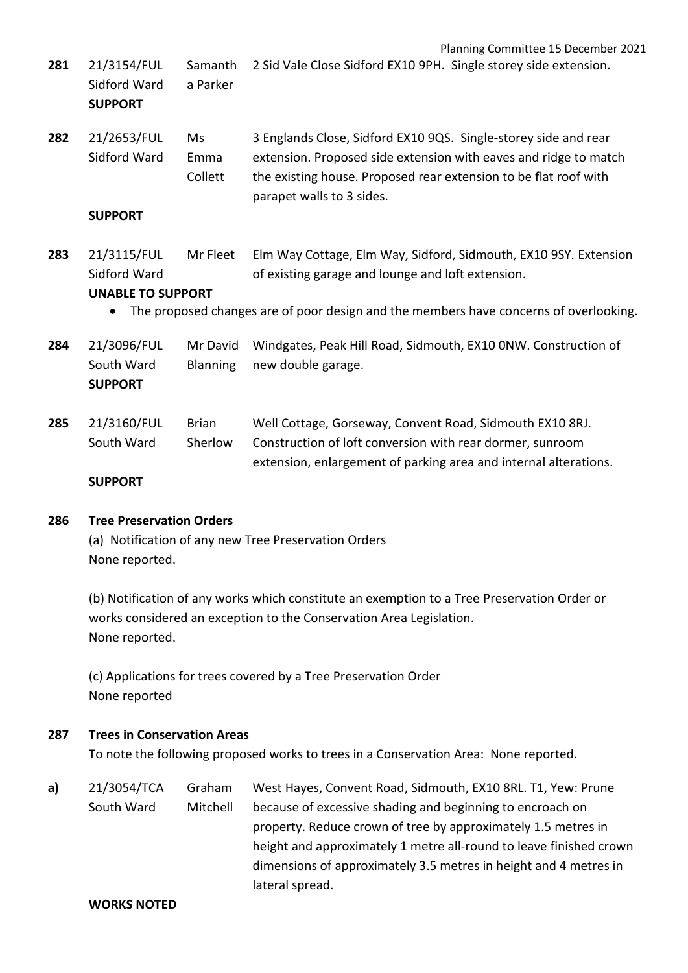| 281 | 21/3154/FUL<br>Sidford Ward<br><b>SUPPORT</b>           | Samanth<br>a Parker         | Planning Committee 15 December 2021<br>2 Sid Vale Close Sidford EX10 9PH. Single storey side extension.                                                                                                                              |
|-----|---------------------------------------------------------|-----------------------------|--------------------------------------------------------------------------------------------------------------------------------------------------------------------------------------------------------------------------------------|
| 282 | 21/2653/FUL<br>Sidford Ward<br><b>SUPPORT</b>           | Ms<br>Emma<br>Collett       | 3 Englands Close, Sidford EX10 9QS. Single-storey side and rear<br>extension. Proposed side extension with eaves and ridge to match<br>the existing house. Proposed rear extension to be flat roof with<br>parapet walls to 3 sides. |
| 283 | 21/3115/FUL<br>Sidford Ward<br><b>UNABLE TO SUPPORT</b> | Mr Fleet                    | Elm Way Cottage, Elm Way, Sidford, Sidmouth, EX10 9SY. Extension<br>of existing garage and lounge and loft extension.<br>The proposed changes are of poor design and the members have concerns of overlooking.                       |
| 284 | 21/3096/FUL<br>South Ward<br><b>SUPPORT</b>             | Mr David<br><b>Blanning</b> | Windgates, Peak Hill Road, Sidmouth, EX10 ONW. Construction of<br>new double garage.                                                                                                                                                 |
| 285 | 21/3160/FUL<br>South Ward<br><b>SUPPORT</b>             | <b>Brian</b><br>Sherlow     | Well Cottage, Gorseway, Convent Road, Sidmouth EX10 8RJ.<br>Construction of loft conversion with rear dormer, sunroom<br>extension, enlargement of parking area and internal alterations.                                            |
| 286 | <b>Tree Preservation Orders</b>                         |                             | (a) Notification of any new Tree Preservation Orders                                                                                                                                                                                 |

None reported.

(b) Notification of any works which constitute an exemption to a Tree Preservation Order or works considered an exception to the Conservation Area Legislation. None reported.

(c) Applications for trees covered by a Tree Preservation Order None reported

# **287 Trees in Conservation Areas**

To note the following proposed works to trees in a Conservation Area: None reported.

**a)** 21/3054/TCA South Ward Graham Mitchell West Hayes, Convent Road, Sidmouth, EX10 8RL. T1, Yew: Prune because of excessive shading and beginning to encroach on property. Reduce crown of tree by approximately 1.5 metres in height and approximately 1 metre all-round to leave finished crown dimensions of approximately 3.5 metres in height and 4 metres in lateral spread.

#### **WORKS NOTED**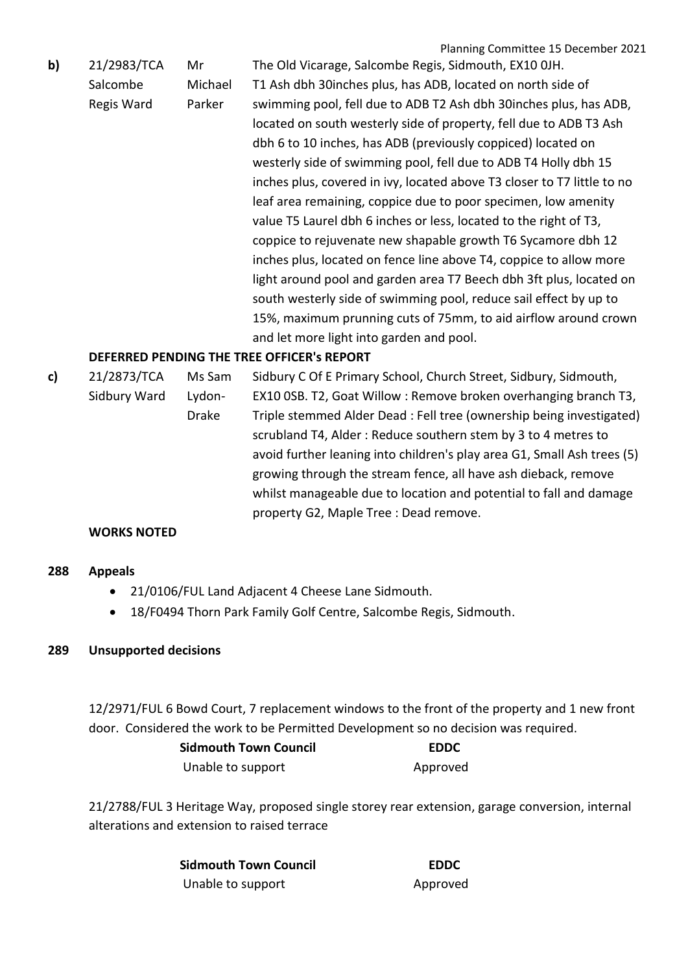|    |             |         | Planning Committee 15 December 2021                                     |
|----|-------------|---------|-------------------------------------------------------------------------|
| b) | 21/2983/TCA | Mr      | The Old Vicarage, Salcombe Regis, Sidmouth, EX10 OJH.                   |
|    | Salcombe    | Michael | T1 Ash dbh 30 inches plus, has ADB, located on north side of            |
|    | Regis Ward  | Parker  | swimming pool, fell due to ADB T2 Ash dbh 30 inches plus, has ADB,      |
|    |             |         | located on south westerly side of property, fell due to ADB T3 Ash      |
|    |             |         | dbh 6 to 10 inches, has ADB (previously coppiced) located on            |
|    |             |         | westerly side of swimming pool, fell due to ADB T4 Holly dbh 15         |
|    |             |         | inches plus, covered in ivy, located above T3 closer to T7 little to no |
|    |             |         | leaf area remaining, coppice due to poor specimen, low amenity          |
|    |             |         | value T5 Laurel dbh 6 inches or less, located to the right of T3,       |
|    |             |         | coppice to rejuvenate new shapable growth T6 Sycamore dbh 12            |
|    |             |         | inches plus, located on fence line above T4, coppice to allow more      |
|    |             |         | light around pool and garden area T7 Beech dbh 3ft plus, located on     |
|    |             |         | south westerly side of swimming pool, reduce sail effect by up to       |
|    |             |         | 15%, maximum prunning cuts of 75mm, to aid airflow around crown         |
|    |             |         | and let more light into garden and pool.                                |

# **DEFERRED PENDING THE TREE OFFICER's REPORT**

**c)** 21/2873/TCA Sidbury Ward Ms Sam Lydon-Drake Sidbury C Of E Primary School, Church Street, Sidbury, Sidmouth, EX10 0SB. T2, Goat Willow : Remove broken overhanging branch T3, Triple stemmed Alder Dead : Fell tree (ownership being investigated) scrubland T4, Alder : Reduce southern stem by 3 to 4 metres to avoid further leaning into children's play area G1, Small Ash trees (5) growing through the stream fence, all have ash dieback, remove whilst manageable due to location and potential to fall and damage property G2, Maple Tree : Dead remove.

# **WORKS NOTED**

#### **288 Appeals**

- 21/0106/FUL Land Adjacent 4 Cheese Lane Sidmouth.
- 18/F0494 Thorn Park Family Golf Centre, Salcombe Regis, Sidmouth.

#### **289 Unsupported decisions**

12/2971/FUL 6 Bowd Court, 7 replacement windows to the front of the property and 1 new front door. Considered the work to be Permitted Development so no decision was required.

| <b>Sidmouth Town Council</b> | <b>EDDC</b> |  |
|------------------------------|-------------|--|
| Unable to support            | Approved    |  |

21/2788/FUL 3 Heritage Way, proposed single storey rear extension, garage conversion, internal alterations and extension to raised terrace

| <b>Sidmouth Town Council</b> | <b>EDDC</b> |
|------------------------------|-------------|
| Unable to support            | Approved    |